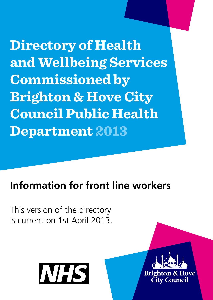**Directory of Health and Wellbeing Services Commissioned by Brighton & Hove City Council Public Health Department 2013**

# **Information for front line workers**

This version of the directory is current on 1st April 2013.



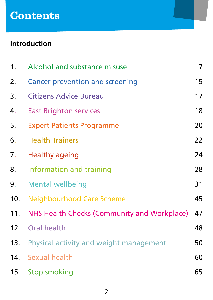# **Contents**

# **Introduction**

| 1.  | Alcohol and substance misuse                | 7  |
|-----|---------------------------------------------|----|
| 2.  | Cancer prevention and screening             | 15 |
| 3.  | <b>Citizens Advice Bureau</b>               | 17 |
| 4.  | <b>East Brighton services</b>               | 18 |
| 5.  | <b>Expert Patients Programme</b>            | 20 |
| 6.  | <b>Health Trainers</b>                      | 22 |
| 7.  | <b>Healthy ageing</b>                       | 24 |
| 8.  | Information and training                    | 28 |
| 9.  | <b>Mental wellbeing</b>                     | 31 |
| 10. | <b>Neighbourhood Care Scheme</b>            | 45 |
| 11. | NHS Health Checks (Community and Workplace) | 47 |
| 12. | Oral health                                 | 48 |
| 13. | Physical activity and weight management     | 50 |
| 14. | Sexual health                               | 60 |
| 15. | <b>Stop smoking</b>                         | 65 |
|     |                                             |    |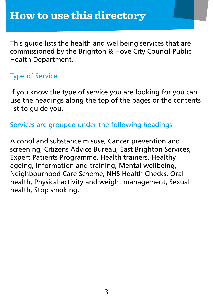This guide lists the health and wellbeing services that are commissioned by the Brighton & Hove City Council Public Health Department.

# Type of Service

If you know the type of service you are looking for you can use the headings along the top of the pages or the contents list to guide you.

Services are grouped under the following headings:

Alcohol and substance misuse, Cancer prevention and screening, Citizens Advice Bureau, East Brighton Services, Expert Patients Programme, Health trainers, Healthy ageing, Information and training, Mental wellbeing, Neighbourhood Care Scheme, NHS Health Checks, Oral health, Physical activity and weight management, Sexual health, Stop smoking.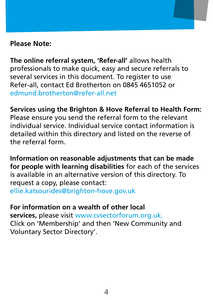# **Please Note:**

**The online referral system, 'Refer-all'** allows health professionals to make quick, easy and secure referrals to several services in this document. To register to use Refer-all, contact Ed Brotherton on 0845 4651052 or [edmund.brotherton@refer-all.net](mailto:edmund.brotherton@refer-all.net)

**Services using the Brighton & Hove Referral to Health Form:** Please ensure you send the referral form to the relevant individual service. Individual service contact information is detailed within this directory and listed on the reverse of the referral form.

**Information on reasonable adjustments that can be made for people with learning disabilities** for each of the services is available in an alternative version of this directory. To request a copy, please contact: [ellie.katsourides@brighton-hove.gov.uk](mailto:ellie.katsourides@brighton-hove.gov.uk)

**For information on a wealth of other local services,** please visit [www.cvsectorforum.org.uk](http://www.cvsectorforum.org.uk/). Click on 'Membership' and then 'New Community and Voluntary Sector Directory'.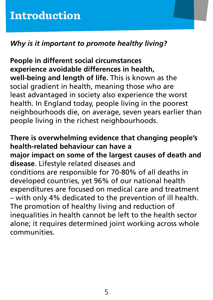# *Why is it important to promote healthy living?*

**People in different social circumstances experience avoidable differences in health, well-being and length of life.** This is known as the social gradient in health, meaning those who are least advantaged in society also experience the worst health. In England today, people living in the poorest neighbourhoods die, on average, seven years earlier than people living in the richest neighbourhoods.

**There is overwhelming evidence that changing people's health-related behaviour can have a major impact on some of the largest causes of death and disease**. Lifestyle related diseases and conditions are responsible for 70-80% of all deaths in developed countries, yet 96% of our national health expenditures are focused on medical care and treatment – with only 4% dedicated to the prevention of ill health. The promotion of healthy living and reduction of inequalities in health cannot be left to the health sector alone; it requires determined joint working across whole communities.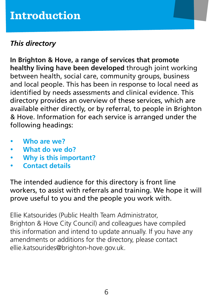# *This directory*

**In Brighton & Hove, a range of services that promote healthy living have been developed** through joint working between health, social care, community groups, business and local people. This has been in response to local need as identified by needs assessments and clinical evidence. This directory provides an overview of these services, which are available either directly, or by referral, to people in Brighton & Hove. Information for each service is arranged under the following headings:

- • **Who are we?**
- What do we do?
- **Why is this important?**
- **Contact details**

The intended audience for this directory is front line workers, to assist with referrals and training. We hope it will prove useful to you and the people you work with.

Ellie Katsourides (Public Health Team Administrator, Brighton & Hove City Council) and colleagues have compiled this information and intend to update annually. If you have any amendments or additions for the directory, please contact [ellie.katsourides@brighton-hove.gov.uk.](mailto:ellie.katsourides@brighton-hove.gov.uk)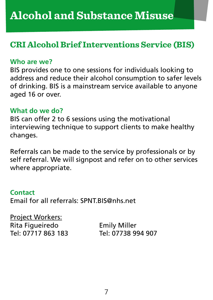# <span id="page-6-0"></span>**CRI Alcohol Brief Interventions Service (BIS)**

#### **Who are we?**

BIS provides one to one sessions for individuals looking to address and reduce their alcohol consumption to safer levels of drinking. BIS is a mainstream service available to anyone aged 16 or over.

#### **What do we do?**

BIS can offer 2 to 6 sessions using the motivational interviewing technique to support clients to make healthy changes.

Referrals can be made to the service by professionals or by self referral. We will signpost and refer on to other services where appropriate.

#### **Contact**

Email for all referrals: [SPNT.BIS@nhs.net](mailto:SPNT.BIS@nhs.net)

Project Workers: Rita Figueiredo Emily Miller Tel: 07717 863 183 Tel: 07738 994 907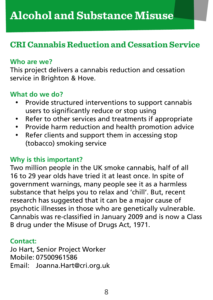# **CRI Cannabis Reduction and Cessation Service**

#### **Who are we?**

This project delivers a cannabis reduction and cessation service in Brighton & Hove.

# **What do we do?**

- Provide structured interventions to support cannabis users to significantly reduce or stop using
- • Refer to other services and treatments if appropriate
- • Provide harm reduction and health promotion advice
- Refer clients and support them in accessing stop (tobacco) smoking service

# **Why is this important?**

Two million people in the UK smoke cannabis, half of all 16 to 29 year olds have tried it at least once. In spite of government warnings, many people see it as a harmless substance that helps you to relax and 'chill'. But, recent research has suggested that it can be a major cause of psychotic illnesses in those who are genetically vulnerable. Cannabis was re-classified in January 2009 and is now a Class B drug under the Misuse of Drugs Act, 1971.

#### **Contact:**

Jo Hart, Senior Project Worker Mobile: 07500961586 Email: [Joanna.Hart@cri.org.uk](mailto:Joanna.Hart@cri.org.uk)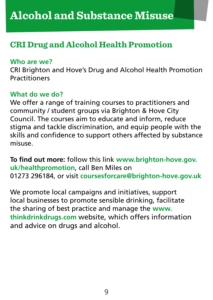# **CRI Drug and Alcohol Health Promotion**

#### **Who are we?**

CRI Brighton and Hove's Drug and Alcohol Health Promotion **Practitioners** 

## **What do we do?**

We offer a range of training courses to practitioners and community / student groups via Brighton & Hove City Council. The courses aim to educate and inform, reduce stigma and tackle discrimination, and equip people with the skills and confidence to support others affected by substance misuse.

**To find out more:** follow this link **[www.brighton-hove.gov.](http://www.brighton-hove.gov.uk/healthpromotion) [uk/healthpromotion](http://www.brighton-hove.gov.uk/healthpromotion)**, call Ben Miles on 01273 296184, or visit **[coursesforcare@brighton-hove.gov.uk](mailto:coursesforcare@brighton-hove.gov.uk)**

We promote local campaigns and initiatives, support local businesses to promote sensible drinking, facilitate the sharing of best practice and manage the **[www.](http://www.thinkdrinkdrugs.com/) [thinkdrinkdrugs.com](http://www.thinkdrinkdrugs.com/)** website, which offers information and advice on drugs and alcohol.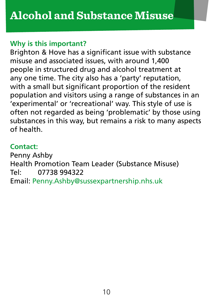# **Why is this important?**

Brighton & Hove has a significant issue with substance misuse and associated issues, with around 1,400 people in structured drug and alcohol treatment at any one time. The city also has a 'party' reputation, with a small but significant proportion of the resident population and visitors using a range of substances in an 'experimental' or 'recreational' way. This style of use is often not regarded as being 'problematic' by those using substances in this way, but remains a risk to many aspects of health.

# **Contact:**

Penny Ashby Health Promotion Team Leader (Substance Misuse) Tel: 07738 994322 Email: [Penny.Ashby@sussexpartnership.nhs.uk](mailto:Penny.Ashby@sussexpartnership.nhs.uk)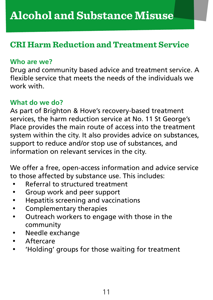# **CRI Harm Reduction and Treatment Service**

#### **Who are we?**

Drug and community based advice and treatment service. A flexible service that meets the needs of the individuals we work with.

# **What do we do?**

As part of Brighton & Hove's recovery-based treatment services, the harm reduction service at No. 11 St George's Place provides the main route of access into the treatment system within the city. It also provides advice on substances, support to reduce and/or stop use of substances, and information on relevant services in the city.

We offer a free, open-access information and advice service to those affected by substance use. This includes:

- Referral to structured treatment
- • Group work and peer support
- • Hepatitis screening and vaccinations
- • Complementary therapies
- • Outreach workers to engage with those in the community
- • Needle exchange
- • Aftercare
- • 'Holding' groups for those waiting for treatment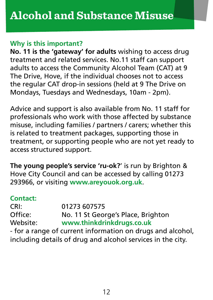#### **Why is this important?**

**No. 11 is the 'gateway' for adults** wishing to access drug treatment and related services. No.11 staff can support adults to access the Community Alcohol Team (CAT) at 9 The Drive, Hove, if the individual chooses not to access the regular CAT drop-in sessions (held at 9 The Drive on Mondays, Tuesdays and Wednesdays, 10am - 2pm).

Advice and support is also available from No. 11 staff for professionals who work with those affected by substance misuse, including families / partners / carers; whether this is related to treatment packages, supporting those in treatment, or supporting people who are not yet ready to access structured support.

**The young people's service 'ru-ok?**' is run by Brighton & Hove City Council and can be accessed by calling 01273 293966, or visiting **[www.areyouok.org.uk](http://www.areyouok.org.uk/)**.

## **Contact:**

CRI: 01273 607575 Office: No. 11 St George's Place, Brighton Website: **[www.thinkdrinkdrugs.co.uk](http://www.thinkdrinkdrugs.co.uk/)**

- for a range of current information on drugs and alcohol, including details of drug and alcohol services in the city.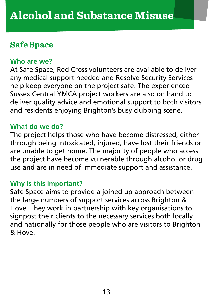# **Safe Space**

#### **Who are we?**

At Safe Space, Red Cross volunteers are available to deliver any medical support needed and Resolve Security Services help keep everyone on the project safe. The experienced Sussex Central YMCA project workers are also on hand to deliver quality advice and emotional support to both visitors and residents enjoying Brighton's busy clubbing scene.

#### **What do we do?**

The project helps those who have become distressed, either through being intoxicated, injured, have lost their friends or are unable to get home. The majority of people who access the project have become vulnerable through alcohol or drug use and are in need of immediate support and assistance.

#### **Why is this important?**

Safe Space aims to provide a joined up approach between the large numbers of support services across Brighton & Hove. They work in partnership with key organisations to signpost their clients to the necessary services both locally and nationally for those people who are visitors to Brighton & Hove.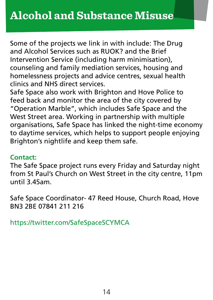Some of the projects we link in with include: The Drug and Alcohol Services such as RUOK? and the Brief Intervention Service (including harm minimisation), counseling and family mediation services, housing and homelessness projects and advice centres, sexual health clinics and NHS direct services.

Safe Space also work with Brighton and Hove Police to feed back and monitor the area of the city covered by "Operation Marble", which includes Safe Space and the West Street area. Working in partnership with multiple organisations, Safe Space has linked the night-time economy to daytime services, which helps to support people enjoying Brighton's nightlife and keep them safe.

#### **Contact:**

The Safe Space project runs every Friday and Saturday night from St Paul's Church on West Street in the city centre, 11pm until 3.45am.

Safe Space Coordinator- 47 Reed House, Church Road, Hove BN3 2BE 07841 211 216

<https://twitter.com/SafeSpaceSCYMCA>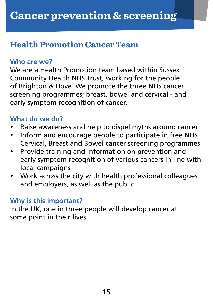# <span id="page-14-0"></span>**Health Promotion Cancer Team**

#### **Who are we?**

We are a Health Promotion team based within Sussex Community Health NHS Trust, working for the people of Brighton & Hove. We promote the three NHS cancer screening programmes; breast, bowel and cervical - and early symptom recognition of cancer.

# **What do we do?**

- Raise awareness and help to dispel myths around cancer
- Inform and encourage people to participate in free NHS Cervical, Breast and Bowel cancer screening programmes
- Provide training and information on prevention and early symptom recognition of various cancers in line with local campaigns
- Work across the city with health professional colleagues and employers, as well as the public

## **Why is this important?**

In the UK, one in three people will develop cancer at some point in their lives.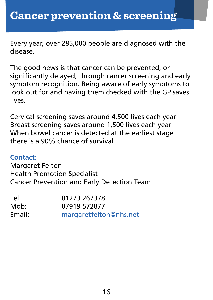Every year, over 285,000 people are diagnosed with the disease.

The good news is that cancer can be prevented, or significantly delayed, through cancer screening and early symptom recognition. Being aware of early symptoms to look out for and having them checked with the GP saves lives.

Cervical screening saves around 4,500 lives each year Breast screening saves around 1,500 lives each year When bowel cancer is detected at the earliest stage there is a 90% chance of survival

#### **Contact:**

Margaret Felton Health Promotion Specialist Cancer Prevention and Early Detection Team

| Tel:   | 01273 267378           |
|--------|------------------------|
| Mob:   | 07919 572877           |
| Email: | margaretfelton@nhs.net |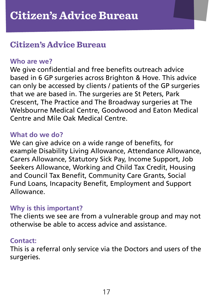# <span id="page-16-0"></span>**Citizen's Advice Bureau**

#### **Who are we?**

We give confidential and free benefits outreach advice based in 6 GP surgeries across Brighton & Hove. This advice can only be accessed by clients / patients of the GP surgeries that we are based in. The surgeries are St Peters, Park Crescent, The Practice and The Broadway surgeries at The Welsbourne Medical Centre, Goodwood and Eaton Medical Centre and Mile Oak Medical Centre.

#### **What do we do?**

We can give advice on a wide range of benefits, for example Disability Living Allowance, Attendance Allowance, Carers Allowance, Statutory Sick Pay, Income Support, Job Seekers Allowance, Working and Child Tax Credit, Housing and Council Tax Benefit, Community Care Grants, Social Fund Loans, Incapacity Benefit, Employment and Support Allowance.

#### **Why is this important?**

The clients we see are from a vulnerable group and may not otherwise be able to access advice and assistance.

#### **Contact:**

This is a referral only service via the Doctors and users of the surgeries.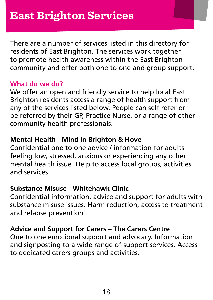<span id="page-17-0"></span>There are a number of services listed in this directory for residents of East Brighton. The services work together to promote health awareness within the East Brighton community and offer both one to one and group support.

# **What do we do?**

We offer an open and friendly service to help local East Brighton residents access a range of health support from any of the services listed below. People can self refer or be referred by their GP, Practice Nurse, or a range of other community health professionals.

# **Mental Health** - **Mind in Brighton & Hove**

Confidential one to one advice / information for adults feeling low, stressed, anxious or experiencing any other mental health issue. Help to access local groups, activities and services.

# **Substance Misuse** - **Whitehawk Clinic**

Confidential information, advice and support for adults with substance misuse issues. Harm reduction, access to treatment and relapse prevention

## **Advice and Support for Carers** – **The Carers Centre**

One to one emotional support and advocacy. Information and signposting to a wide range of support services. Access to dedicated carers groups and activities.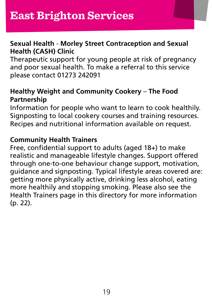# **Sexual Health** - **Morley Street Contraception and Sexual Health (CASH) Clinic**

Therapeutic support for young people at risk of pregnancy and poor sexual health. To make a referral to this service please contact 01273 242091

# **Healthy Weight and Community Cookery** – **The Food Partnership**

Information for people who want to learn to cook healthily. Signposting to local cookery courses and training resources. Recipes and nutritional information available on request.

# **Community Health Trainers**

Free, confidential support to adults (aged 18+) to make realistic and manageable lifestyle changes. Support offered through one-to-one behaviour change support, motivation, guidance and signposting. Typical lifestyle areas covered are: getting more physically active, drinking less alcohol, eating more healthily and stopping smoking. Please also see the Health Trainers page in this directory for more information (p. 22).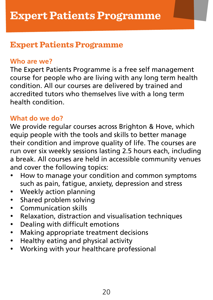# <span id="page-19-0"></span>**Expert Patients Programme**

## **Who are we?**

The Expert Patients Programme is a free self management course for people who are living with any long term health condition. All our courses are delivered by trained and accredited tutors who themselves live with a long term health condition.

# **What do we do?**

We provide regular courses across Brighton & Hove, which equip people with the tools and skills to better manage their condition and improve quality of life. The courses are run over six weekly sessions lasting 2.5 hours each, including a break. All courses are held in accessible community venues and cover the following topics:

- How to manage your condition and common symptoms such as pain, fatigue, anxiety, depression and stress
- Weekly action planning
- • Shared problem solving
- • Communication skills
- • Relaxation, distraction and visualisation techniques
- • Dealing with difficult emotions
- • Making appropriate treatment decisions
- • Healthy eating and physical activity
- • Working with your healthcare professional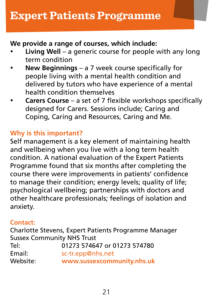# **We provide a range of courses, which include:**

- **Living Well** a generic course for people with any long term condition
- **New Beginnings** a 7 week course specifically for people living with a mental health condition and delivered by tutors who have experience of a mental health condition themselves
- **Carers Course** a set of 7 flexible workshops specifically designed for Carers. Sessions include; Caring and Coping, Caring and Resources, Caring and Me.

# **Why is this important?**

Self management is a key element of maintaining health and wellbeing when you live with a long term health condition. A national evaluation of the Expert Patients Programme found that six months after completing the course there were improvements in patients' confidence to manage their condition; energy levels; quality of life; psychological wellbeing; partnerships with doctors and other healthcare professionals; feelings of isolation and anxiety.

## **Contact:**

Charlotte Stevens, Expert Patients Programme Manager Sussex Community NHS Trust Tel: 01273 574647 or 01273 574780 [sc-tr.epp@nhs.net](mailto:sc-tr.epp@nhs.net) Website: **[www.sussexcommunity.nhs.uk](http://www.sussexcommunity.nhs.uk/)**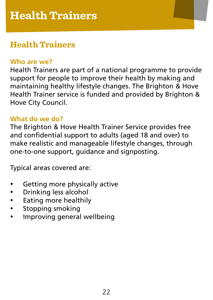# <span id="page-21-0"></span>**Health Trainers**

# **Who are we?**

Health Trainers are part of a national programme to provide support for people to improve their health by making and maintaining healthy lifestyle changes. The Brighton & Hove Health Trainer service is funded and provided by Brighton & Hove City Council.

# **What do we do?**

The Brighton & Hove Health Trainer Service provides free and confidential support to adults (aged 18 and over) to make realistic and manageable lifestyle changes, through one-to-one support, guidance and signposting.

Typical areas covered are:

- Getting more physically active
- • Drinking less alcohol
- • Eating more healthily
- Stopping smoking
- Improving general wellbeing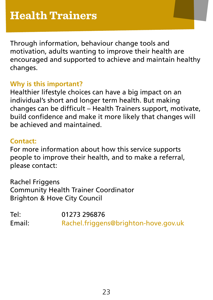Through information, behaviour change tools and motivation, adults wanting to improve their health are encouraged and supported to achieve and maintain healthy changes.

# **Why is this important?**

Healthier lifestyle choices can have a big impact on an individual's short and longer term health. But making changes can be difficult – Health Trainers support, motivate, build confidence and make it more likely that changes will be achieved and maintained.

#### **Contact:**

For more information about how this service supports people to improve their health, and to make a referral, please contact:

Rachel Friggens Community Health Trainer Coordinator Brighton & Hove City Council

Tel: 01273 296876 Email: [Rachel.friggens@brighton-hove.gov.uk](mailto:Rachel.friggens@brighton-hove.gov.uk)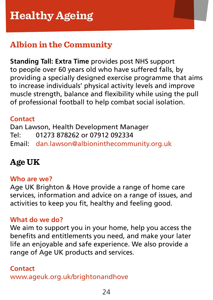# <span id="page-23-0"></span>**Albion in the Community**

**Standing Tall: Extra Time** provides post NHS support to people over 60 years old who have suffered falls, by providing a specially designed exercise programme that aims to increase individuals' physical activity levels and improve muscle strength, balance and flexibility while using the pull of professional football to help combat social isolation.

# **Contact**

Dan Lawson, Health Development Manager Tel: 01273 878262 or 07912 092334 Email: [dan.lawson@albioninthecommunity.org.uk](mailto:dan.lawson@albioninthecommunity.org.uk)

# **Age UK**

## **Who are we?**

Age UK Brighton & Hove provide a range of home care services, information and advice on a range of issues, and activities to keep you fit, healthy and feeling good.

# **What do we do?**

We aim to support you in your home, help you access the benefits and entitlements you need, and make your later life an enjoyable and safe experience. We also provide a range of Age UK products and services.

## **Contact**

[www.ageuk.org.uk/brightonandhove](http://Www.ageuk.org.uk/brightonandhove)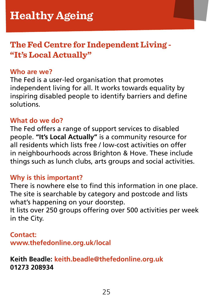# **The Fed Centre for Independent Living - "It's Local Actually"**

#### **Who are we?**

The Fed is a user-led organisation that promotes independent living for all. It works towards equality by inspiring disabled people to identify barriers and define solutions.

## **What do we do?**

The Fed offers a range of support services to disabled people. **"It's Local Actually"** is a community resource for all residents which lists free / low-cost activities on offer in neighbourhoods across Brighton & Hove. These include things such as lunch clubs, arts groups and social activities.

#### **Why is this important?**

There is nowhere else to find this information in one place. The site is searchable by category and postcode and lists what's happening on your doorstep.

It lists over 250 groups offering over 500 activities per week in the City.

#### **Contact:**

**[www.thefedonline.org.uk/local](http://www.thefedonline.org.uk/local)**

**Keith Beadle: [keith.beadle@thefedonline.org.uk](mailto:keith.beadle@thefedonline.org.uk) 01273 208934**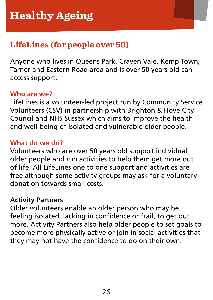# **LifeLines (for people over 50)**

Anyone who lives in Queens Park, Craven Vale, Kemp Town, Tarner and Eastern Road area and is over 50 years old can access support.

#### **Who are we?**

LifeLines is a volunteer-led project run by Community Service Volunteers (CSV) in partnership with Brighton & Hove City Council and NHS Sussex which aims to improve the health and well-being of isolated and vulnerable older people.

# **What do we do?**

Volunteers who are over 50 years old support individual older people and run activities to help them get more out of life. All LifeLines one to one support and activities are free although some activity groups may ask for a voluntary donation towards small costs.

#### **Activity Partners**

Older volunteers enable an older person who may be feeling isolated, lacking in confidence or frail, to get out more. Activity Partners also help older people to set goals to become more physically active or join in social activities that they may not have the confidence to do on their own.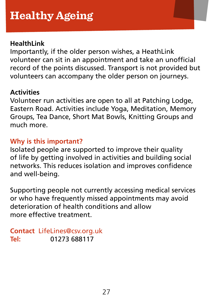## **HealthLink**

Importantly, if the older person wishes, a HeathLink volunteer can sit in an appointment and take an unofficial record of the points discussed. Transport is not provided but volunteers can accompany the older person on journeys.

## **Activities**

Volunteer run activities are open to all at Patching Lodge, Eastern Road. Activities include Yoga, Meditation, Memory Groups, Tea Dance, Short Mat Bowls, Knitting Groups and much more.

# **Why is this important?**

Isolated people are supported to improve their quality of life by getting involved in activities and building social networks. This reduces isolation and improves confidence and well-being.

Supporting people not currently accessing medical services or who have frequently missed appointments may avoid deterioration of health conditions and allow more effective treatment.

**Contact** [LifeLines@csv.org.uk](mailto:LifeLines@csv.org.uk) **Tel:** 01273 688117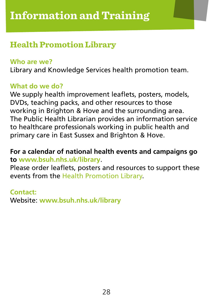# <span id="page-27-0"></span>**Health Promotion Library**

## **Who are we?**

Library and Knowledge Services health promotion team.

# **What do we do?**

We supply health improvement leaflets, posters, models, DVDs, teaching packs, and other resources to those working in Brighton & Hove and the surrounding area. The Public Health Librarian provides an information service to healthcare professionals working in public health and primary care in East Sussex and Brighton & Hove.

# **For a calendar of national health events and campaigns go to [www.bsuh.nhs.uk/library](http://www.bsuh.nhs.uk/library)**.

Please order leaflets, posters and resources to support these events from the [Health Promotion Library.](http://www.bsuh.nhs.uk/work-and-learn/library-services/health-promotion-and-public-health/health-promotion-leaflets-and-resources/?borrow=2)

## **Contact:**

Website: **[www.bsuh.nhs.uk/library](http://www.bsuh.nhs.uk/library)**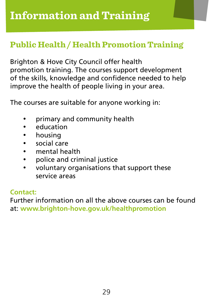# **Public Health / Health Promotion Training**

Brighton & Hove City Council offer health promotion training. The courses support development of the skills, knowledge and confidence needed to help improve the health of people living in your area.

The courses are suitable for anyone working in:

- primary and community health
- • education
- housing
- • social care
- • mental health
- • police and criminal justice
- • voluntary organisations that support these service areas

## **Contact:**

Further information on all the above courses can be found at: **[www.brighton-hove.gov.uk/healthpromotion](http://www.brighton-hove.gov.uk/healthpromotion)**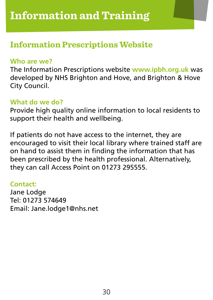# **Information Prescriptions Website**

## **Who are we?**

The Information Prescriptions website **[www.ipbh.org.uk](http://www.ipbh.org.uk/)** was developed by NHS Brighton and Hove, and Brighton & Hove City Council.

# **What do we do?**

Provide high quality online information to local residents to support their health and wellbeing.

If patients do not have access to the internet, they are encouraged to visit their local library where trained staff are on hand to assist them in finding the information that has been prescribed by the health professional. Alternatively, they can call Access Point on 01273 295555.

## **Contact:**

Jane Lodge Tel: 01273 574649 Email: Jane.lodge1@nhs.net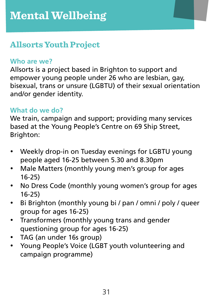# <span id="page-30-0"></span>**Allsorts Youth Project**

# **Who are we?**

Allsorts is a project based in Brighton to support and empower young people under 26 who are lesbian, gay, bisexual, trans or unsure (LGBTU) of their sexual orientation and/or gender identity.

# **What do we do?**

We train, campaign and support; providing many services based at the Young People's Centre on 69 Ship Street, Brighton:

- Weekly drop-in on Tuesday evenings for LGBTU young people aged 16-25 between 5.30 and 8.30pm
- Male Matters (monthly young men's group for ages 16-25)
- No Dress Code (monthly young women's group for ages 16-25)
- Bi Brighton (monthly young bi / pan / omni / poly / queer group for ages 16-25)
- • Transformers (monthly young trans and gender questioning group for ages 16-25)
- TAG (an under 16s group)
- Young People's Voice (LGBT youth volunteering and campaign programme)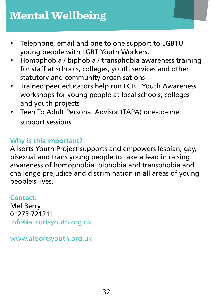- Telephone, email and one to one support to LGBTU young people with LGBT Youth Workers.
- Homophobia / biphobia / transphobia awareness training for staff at schools, colleges, youth services and other statutory and community organisations
- Trained peer educators help run LGBT Youth Awareness workshops for young people at local schools, colleges and youth projects
- Teen To Adult Personal Advisor (TAPA) one-to-one support sessions

# **Why is this important?**

Allsorts Youth Project supports and empowers lesbian, gay, bisexual and trans young people to take a lead in raising awareness of homophobia, biphobia and transphobia and challenge prejudice and discrimination in all areas of young people's lives.

# **Contact:**

Mel Berry 01273 721211 [info@allsortsyouth.org.uk](mailto:info@allsortsyouth.org.uk)

[www.allsortsyouth.org.uk](http://www.allsortsyouth.org.uk/)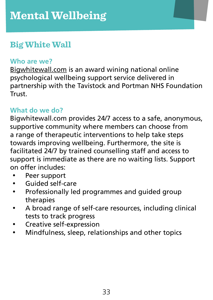# **Big White Wall**

## **Who are we?**

Bigwhitewall.com is an award wining national online psychological wellbeing support service delivered in partnership with the Tavistock and Portman NHS Foundation Trust.

# **What do we do?**

Bigwhitewall.com provides 24/7 access to a safe, anonymous, supportive community where members can choose from a range of therapeutic interventions to help take steps towards improving wellbeing. Furthermore, the site is facilitated 24/7 by trained counselling staff and access to support is immediate as there are no waiting lists. Support on offer includes:

- Peer support
- Guided self-care
- • Professionally led programmes and guided group therapies
- • A broad range of self-care resources, including clinical tests to track progress
- • Creative self-expression
- • Mindfulness, sleep, relationships and other topics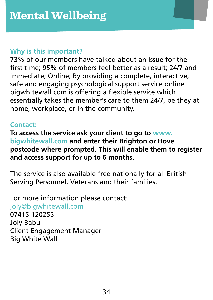# **Why is this important?**

73% of our members have talked about an issue for the first time; 95% of members feel better as a result; 24/7 and immediate; Online; By providing a complete, interactive, safe and engaging psychological support service online bigwhitewall.com is offering a flexible service which essentially takes the member's care to them 24/7, be they at home, workplace, or in the community.

# **Contact:**

**To access the service ask your client to go to [www.](http://www.bigwhitewall.com/) [bigwhitewall.com](http://www.bigwhitewall.com/) and enter their Brighton or Hove postcode where prompted. This will enable them to register and access support for up to 6 months.** 

The service is also available free nationally for all British Serving Personnel, Veterans and their families.

For more information please contact: [joly@bigwhitewall.com](mailto:joly@bigwhitewall.com)

07415-120255 Joly Babu Client Engagement Manager Big White Wall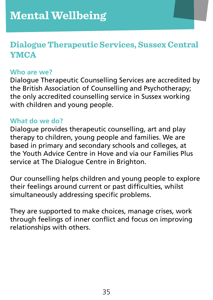# **Dialogue Therapeutic Services, Sussex Central YMCA**

#### **Who are we?**

Dialogue Therapeutic Counselling Services are accredited by the British Association of Counselling and Psychotherapy; the only accredited counselling service in Sussex working with children and young people.

## **What do we do?**

Dialogue provides therapeutic counselling, art and play therapy to children, young people and families. We are based in primary and secondary schools and colleges, at the Youth Advice Centre in Hove and via our Families Plus service at The Dialogue Centre in Brighton.

Our counselling helps children and young people to explore their feelings around current or past difficulties, whilst simultaneously addressing specific problems.

They are supported to make choices, manage crises, work through feelings of inner conflict and focus on improving relationships with others.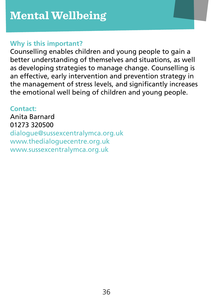## **Why is this important?**

Counselling enables children and young people to gain a better understanding of themselves and situations, as well as developing strategies to manage change. Counselling is an effective, early intervention and prevention strategy in the management of stress levels, and significantly increases the emotional well being of children and young people.

# **Contact:**

Anita Barnard 01273 320500 [dialogue@sussexcentralymca.org.uk](mailto:dialogue@sussexcentralymca.org.uk) [www.thedialoguecentre.org.uk](http://www.thedialoguecentre.org.uk/) [www.sussexcentralymca.org.uk](http://www.sussexcentralymca.org.uk/)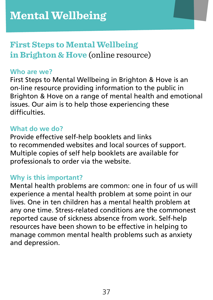# **First Steps to Mental Wellbeing in Brighton & Hove** (online resource)

#### **Who are we?**

First Steps to Mental Wellbeing in Brighton & Hove is an on-line resource providing information to the public in Brighton & Hove on a range of mental health and emotional issues. Our aim is to help those experiencing these difficulties.

#### **What do we do?**

Provide effective self-help booklets and links to recommended websites and local sources of support. Multiple copies of self help booklets are available for professionals to order via the website.

# **Why is this important?**

Mental health problems are common: one in four of us will experience a mental health problem at some point in our lives. One in ten children has a mental health problem at any one time. Stress-related conditions are the commonest reported cause of sickness absence from work. Self-help resources have been shown to be effective in helping to manage common mental health problems such as anxiety and depression.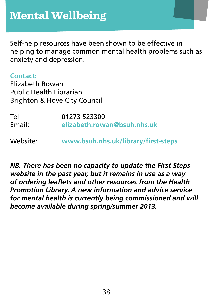Self-help resources have been shown to be effective in helping to manage common mental health problems such as anxiety and depression.

#### **Contact:**

Elizabeth Rowan Public Health Librarian Brighton & Hove City Council

Tel: 01273 523300<br>
Fmail: elizabeth row Email: **[elizabeth.rowan@bsuh.nhs.uk](mailto:elizabeth.rowan@bsuh.nhs.uk)**

Website: **[www.bsuh.nhs.uk/library/first-steps](http://www.bsuh.nhs.uk/library/first-steps)**

*NB. There has been no capacity to update the First Steps website in the past year, but it remains in use as a way of ordering leaflets and other resources from the Health Promotion Library. A new information and advice service for mental health is currently being commissioned and will become available during spring/summer 2013.*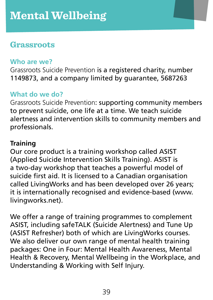# **Grassroots**

#### **Who are we?**

Grassroots Suicide Prevention is a registered charity, number 1149873, and a company limited by guarantee, 5687263

# **What do we do?**

Grassroots Suicide Prevention: supporting community members to prevent suicide, one life at a time. We teach suicide alertness and intervention skills to community members and professionals.

# **Training**

Our core product is a training workshop called ASIST (Applied Suicide Intervention Skills Training). ASIST is a two-day workshop that teaches a powerful model of suicide first aid. It is licensed to a Canadian organisation called LivingWorks and has been developed over 26 years; it is internationally recognised and evidence-based (www. livingworks.net).

We offer a range of training programmes to complement ASIST, including safeTALK (Suicide Alertness) and Tune Up (ASIST Refresher) both of which are LivingWorks courses. We also deliver our own range of mental health training packages: One in Four: Mental Health Awareness, Mental Health & Recovery, Mental Wellbeing in the Workplace, and Understanding & Working with Self Injury.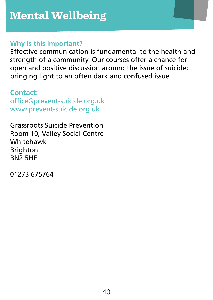#### **Why is this important?**

Effective communication is fundamental to the health and strength of a community. Our courses offer a chance for open and positive discussion around the issue of suicide: bringing light to an often dark and confused issue.

**Contact:** [office@prevent-suicide.org.uk](mailto:office@prevent-suicide.org.uk) [www.prevent-suicide.org.uk](http://www.prevent-suicide.org.uk)

Grassroots Suicide Prevention Room 10, Valley Social Centre Whitehawk Brighton BN2 5HE

01273 675764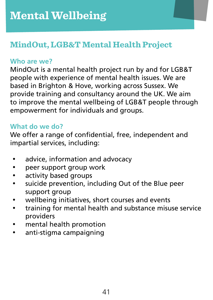# **MindOut, LGB&T Mental Health Project**

# **Who are we?**

MindOut is a mental health project run by and for LGB&T people with experience of mental health issues. We are based in Brighton & Hove, working across Sussex. We provide training and consultancy around the UK. We aim to improve the mental wellbeing of LGB&T people through empowerment for individuals and groups.

# **What do we do?**

We offer a range of confidential, free, independent and impartial services, including:

- • advice, information and advocacy
- • peer support group work
- • activity based groups
- • suicide prevention, including Out of the Blue peer support group
- • wellbeing initiatives, short courses and events
- • training for mental health and substance misuse service providers
- • mental health promotion
- • anti-stigma campaigning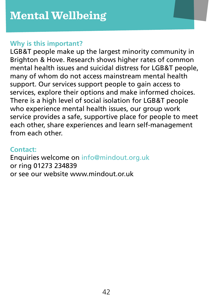#### **Why is this important?**

LGB&T people make up the largest minority community in Brighton & Hove. Research shows higher rates of common mental health issues and suicidal distress for LGB&T people, many of whom do not access mainstream mental health support. Our services support people to gain access to services, explore their options and make informed choices. There is a high level of social isolation for LGB&T people who experience mental health issues, our group work service provides a safe, supportive place for people to meet each other, share experiences and learn self-management from each other.

## **Contact:**

Enquiries welcome on [info@mindout.org.uk](mailto:info@mindout.org.uk) or ring 01273 234839 or see our website www.mindout.or.uk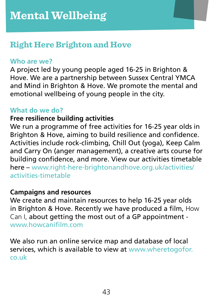# **Right Here Brighton and Hove**

#### **Who are we?**

A project led by young people aged 16-25 in Brighton & Hove. We are a partnership between Sussex Central YMCA and Mind in Brighton & Hove. We promote the mental and emotional wellbeing of young people in the city.

#### **What do we do?**

#### **Free resilience building activities**

We run a programme of free activities for 16-25 year olds in Brighton & Hove, aiming to build resilience and confidence. Activities include rock-climbing, Chill Out (yoga), Keep Calm and Carry On (anger management), a creative arts course for building confidence, and more. View our activities timetable here – [www.right-here-brightonandhove.org.uk/activities/](http://www.right-here-brightonandhove.org.uk/activities/activities-timetable) [activities-timetable](http://www.right-here-brightonandhove.org.uk/activities/activities-timetable)

#### **Campaigns and resources**

We create and maintain resources to help 16-25 year olds in Brighton & Hove. Recently we have produced a film, How Can I, about getting the most out of a GP appointment [www.howcanifilm.com](http://www.howcanifilm.com/)

We also run an online service map and database of local services, which is available to view at [www.wheretogofor.](http://www.wheretogofor.co.uk/) [co.uk](http://www.wheretogofor.co.uk/)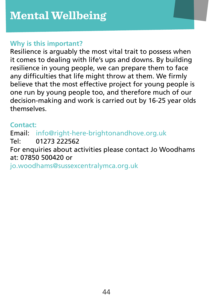#### **Why is this important?**

Resilience is arguably the most vital trait to possess when it comes to dealing with life's ups and downs. By building resilience in young people, we can prepare them to face any difficulties that life might throw at them. We firmly believe that the most effective project for young people is one run by young people too, and therefore much of our decision-making and work is carried out by 16-25 year olds themselves.

## **Contact:**

Email: [info@right-here-brightonandhove.org.uk](mailto:info@right-here-brightonandhove.org.uk) Tel: 01273 222562 For enquiries about activities please contact Jo Woodhams at: 07850 500420 or [jo.woodhams@sussexcentralymca.org.uk](mailto:jo.woodhams@sussexcentralymca.org.uk)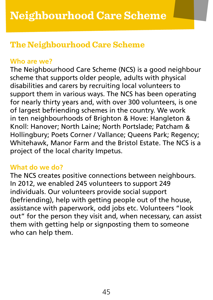# <span id="page-44-0"></span>**The Neighbourhood Care Scheme**

## **Who are we?**

The Neighbourhood Care Scheme (NCS) is a good neighbour scheme that supports older people, adults with physical disabilities and carers by recruiting local volunteers to support them in various ways. The NCS has been operating for nearly thirty years and, with over 300 volunteers, is one of largest befriending schemes in the country. We work in ten neighbourhoods of Brighton & Hove: Hangleton & Knoll: Hanover; North Laine; North Portslade; Patcham & Hollingbury; Poets Corner / Vallance; Queens Park; Regency; Whitehawk, Manor Farm and the Bristol Estate. The NCS is a project of the local charity Impetus.

## **What do we do?**

The NCS creates positive connections between neighbours. In 2012, we enabled 245 volunteers to support 249 individuals. Our volunteers provide social support (befriending), help with getting people out of the house, assistance with paperwork, odd jobs etc. Volunteers "look out" for the person they visit and, when necessary, can assist them with getting help or signposting them to someone who can help them.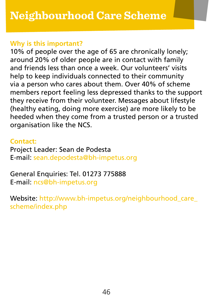#### **Why is this important?**

10% of people over the age of 65 are chronically lonely; around 20% of older people are in contact with family and friends less than once a week. Our volunteers' visits help to keep individuals connected to their community via a person who cares about them. Over 40% of scheme members report feeling less depressed thanks to the support they receive from their volunteer. Messages about lifestyle (healthy eating, doing more exercise) are more likely to be heeded when they come from a trusted person or a trusted organisation like the NCS.

#### **Contact:**

Project Leader: Sean de Podesta E-mail: [sean.depodesta@bh-impetus.org](mailto:sean.depodesta@bh-impetus.org)

# General Enquiries: Tel. 01273 775888

E-mail: [ncs@bh-impetus.org](mailto:ncs@bh-impetus.org)

Website: http://www.bh-impetus.org/neighbourhood\_care [scheme/index.php](http://www.bh-impetus.org/neighbourhood_care_scheme/index.php)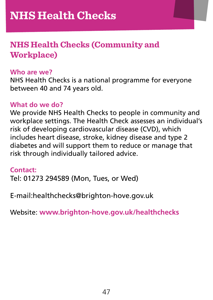# <span id="page-46-0"></span>**NHS Health Checks (Community and Workplace)**

#### **Who are we?**

NHS Health Checks is a national programme for everyone between 40 and 74 years old.

#### **What do we do?**

We provide NHS Health Checks to people in community and workplace settings. The Health Check assesses an individual's risk of developing cardiovascular disease (CVD), which includes heart disease, stroke, kidney disease and type 2 diabetes and will support them to reduce or manage that risk through individually tailored advice.

#### **Contact:**

Tel: 01273 294589 (Mon, Tues, or Wed)

E-mail:healthchecks@brighton-hove.gov.uk

Website: **[www.brighton-hove.gov.uk/healthchecks](http://www.brighton-hove.gov.uk/healthchecks)**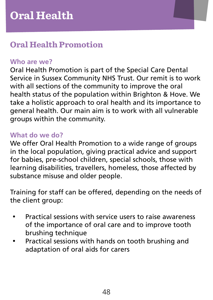# <span id="page-47-0"></span>**Oral Health Promotion**

# **Who are we?**

Oral Health Promotion is part of the Special Care Dental Service in Sussex Community NHS Trust. Our remit is to work with all sections of the community to improve the oral health status of the population within Brighton & Hove. We take a holistic approach to oral health and its importance to general health. Our main aim is to work with all vulnerable groups within the community.

## **What do we do?**

We offer Oral Health Promotion to a wide range of groups in the local population, giving practical advice and support for babies, pre-school children, special schools, those with learning disabilities, travellers, homeless, those affected by substance misuse and older people.

Training for staff can be offered, depending on the needs of the client group:

- Practical sessions with service users to raise awareness of the importance of oral care and to improve tooth brushing technique
- Practical sessions with hands on tooth brushing and adaptation of oral aids for carers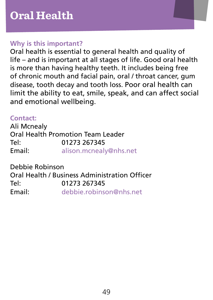#### **Why is this important?**

Oral health is essential to general health and quality of life – and is important at all stages of life. Good oral health is more than having healthy teeth. It includes being free of chronic mouth and facial pain, oral / throat cancer, gum disease, tooth decay and tooth loss. Poor oral health can limit the ability to eat, smile, speak, and can affect social and emotional wellbeing.

# **Contact:**

Ali Mcnealy Oral Health Promotion Team Leader Tel: 01273 267345 Email: [alison.mcnealy@nhs.net](mailto:alison.mcnealy@nhs.net)

Debbie Robinson Oral Health / Business Administration Officer Tel: 01273 267345 Email: [debbie.robinson@nhs.net](mailto:debbie.robinson@nhs.net)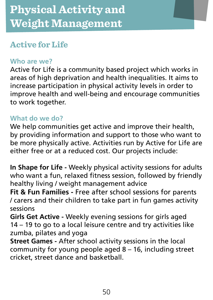# <span id="page-49-0"></span>**Active for Life**

# **Who are we?**

Active for Life is a community based project which works in areas of high deprivation and health inequalities. It aims to increase participation in physical activity levels in order to improve health and well-being and encourage communities to work together.

# **What do we do?**

We help communities get active and improve their health, by providing information and support to those who want to be more physically active. Activities run by Active for Life are either free or at a reduced cost. Our projects include:

**In Shape for Life -** Weekly physical activity sessions for adults who want a fun, relaxed fitness session, followed by friendly healthy living / weight management advice

**Fit & Fun Families -** Free after school sessions for parents / carers and their children to take part in fun games activity sessions

**Girls Get Active -** Weekly evening sessions for girls aged 14 – 19 to go to a local leisure centre and try activities like zumba, pilates and yoga

**Street Games -** After school activity sessions in the local community for young people aged 8 – 16, including street cricket, street dance and basketball.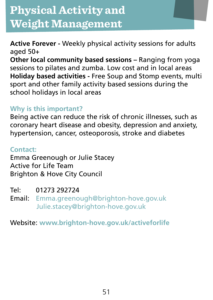**Active Forever -** Weekly physical activity sessions for adults aged 50+

**Other local community based sessions –** Ranging from yoga sessions to pilates and zumba. Low cost and in local areas **Holiday based activities -** Free Soup and Stomp events, multi sport and other family activity based sessions during the school holidays in local areas

# **Why is this important?**

Being active can reduce the risk of chronic illnesses, such as coronary heart disease and obesity, depression and anxiety, hypertension, cancer, osteoporosis, stroke and diabetes

# **Contact:**

Emma Greenough or Julie Stacey Active for Life Team Brighton & Hove City Council

Tel: 01273 292724

Email: [Emma.greenough@brighton-hove.gov.uk](mailto:Emma.greenough@brighton-hove.gov.uk) [Julie.stacey@brighton-hove.gov.uk](mailto:Julie.stacey@brighton-hove.gov.uk)

Website: **[www.brighton-hove.gov.uk/activeforlife](http://www.brighton-hove.gov.uk/activeforlife)**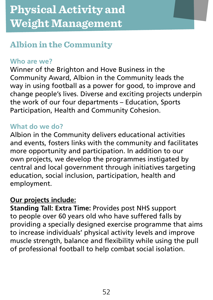# **Albion in the Community**

# **Who are we?**

Winner of the Brighton and Hove Business in the Community Award, Albion in the Community leads the way in using football as a power for good, to improve and change people's lives. Diverse and exciting projects underpin the work of our four departments – Education, Sports Participation, Health and Community Cohesion.

# **What do we do?**

Albion in the Community delivers educational activities and events, fosters links with the community and facilitates more opportunity and participation. In addition to our own projects, we develop the programmes instigated by central and local government through initiatives targeting education, social inclusion, participation, health and employment.

#### **Our projects include:**

**Standing Tall: Extra Time:** Provides post NHS support to people over 60 years old who have suffered falls by providing a specially designed exercise programme that aims to increase individuals' physical activity levels and improve muscle strength, balance and flexibility while using the pull of professional football to help combat social isolation.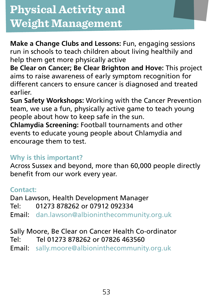**Make a Change Clubs and Lessons:** Fun, engaging sessions run in schools to teach children about living healthily and help them get more physically active

**Be Clear on Cancer; Be Clear Brighton and Hove:** This project aims to raise awareness of early symptom recognition for different cancers to ensure cancer is diagnosed and treated earlier.

**Sun Safety Workshops:** Working with the Cancer Prevention team, we use a fun, physically active game to teach young people about how to keep safe in the sun.

**Chlamydia Screening:** Football tournaments and other events to educate young people about Chlamydia and encourage them to test.

# **Why is this important?**

Across Sussex and beyond, more than 60,000 people directly benefit from our work every year.

# **Contact:**

Dan Lawson, Health Development Manager Tel: 01273 878262 or 07912 092334 Email: [dan.lawson@albioninthecommunity.org.uk](mailto:dan.lawson@albioninthecommunity.org.uk)

Sally Moore, Be Clear on Cancer Health Co-ordinator Tel: Tel 01273 878262 or 07826 463560

Email: [sally.moore@albioninthecommunity.org.uk](mailto:sally.moore@albioninthecommunity.org.uk)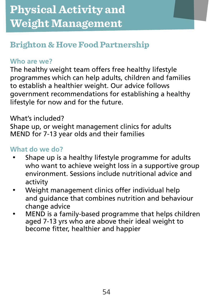# **Brighton & Hove Food Partnership**

# **Who are we?**

The healthy weight team offers free healthy lifestyle programmes which can help adults, children and families to establish a healthier weight. Our advice follows government recommendations for establishing a healthy lifestyle for now and for the future.

# What's included?

Shape up, or weight management clinics for adults MEND for 7-13 year olds and their families

# **What do we do?**

- Shape up is a healthy lifestyle programme for adults who want to achieve weight loss in a supportive group environment. Sessions include nutritional advice and activity
- • Weight management clinics offer individual help and guidance that combines nutrition and behaviour change advice
- MEND is a family-based programme that helps children aged 7-13 yrs who are above their ideal weight to become fitter, healthier and happier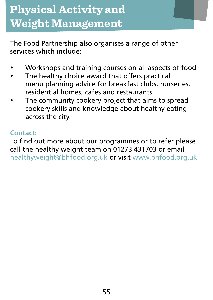The Food Partnership also organises a range of other services which include:

- Workshops and training courses on all aspects of food
- The healthy choice award that offers practical menu planning advice for breakfast clubs, nurseries, residential homes, cafes and restaurants
- The community cookery project that aims to spread cookery skills and knowledge about healthy eating across the city.

## **Contact:**

To find out more about our programmes or to refer please call the healthy weight team on 01273 431703 or email [healthyweight@bhfood.org.uk](mailto:healthyweight@bhfood.org.uk) or visit [www.bhfood.org.uk](http://www.bhfood.org.uk/)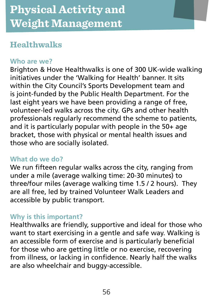# **Healthwalks**

# **Who are we?**

Brighton & Hove Healthwalks is one of 300 UK-wide walking initiatives under the 'Walking for Health' banner. It sits within the City Council's Sports Development team and is joint-funded by the Public Health Department. For the last eight years we have been providing a range of free, volunteer-led walks across the city. GPs and other health professionals regularly recommend the scheme to patients, and it is particularly popular with people in the 50+ age bracket, those with physical or mental health issues and those who are socially isolated.

## **What do we do?**

We run fifteen regular walks across the city, ranging from under a mile (average walking time: 20-30 minutes) to three/four miles (average walking time 1.5 / 2 hours). They are all free, led by trained Volunteer Walk Leaders and accessible by public transport.

# **Why is this important?**

Healthwalks are friendly, supportive and ideal for those who want to start exercising in a gentle and safe way. Walking is an accessible form of exercise and is particularly beneficial for those who are getting little or no exercise, recovering from illness, or lacking in confidence. Nearly half the walks are also wheelchair and buggy-accessible.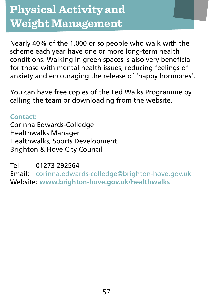Nearly 40% of the 1,000 or so people who walk with the scheme each year have one or more long-term health conditions. Walking in green spaces is also very beneficial for those with mental health issues, reducing feelings of anxiety and encouraging the release of 'happy hormones'.

You can have free copies of the Led Walks Programme by calling the team or downloading from the website.

**Contact:** Corinna Edwards-Colledge Healthwalks Manager Healthwalks, Sports Development Brighton & Hove City Council

Tel: 01273 292564

Email: [corinna.edwards-colledge@brighton-hove.gov.uk](mailto:corinna.edwards-colledge@brighton-hove.gov.uk) Website: **[www.brighton-hove.gov.uk/healthwalks](http://www.brighton-hove.gov.uk/healthwalks)**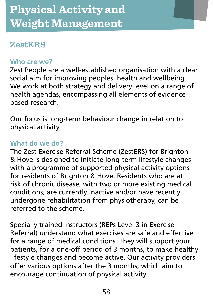# **ZestERS**

## **Who are we?**

Zest People are a well-established organisation with a clear social aim for improving peoples' health and wellbeing. We work at both strategy and delivery level on a range of health agendas, encompassing all elements of evidence based research.

Our focus is long-term behaviour change in relation to physical activity.

## **What do we do?**

The Zest Exercise Referral Scheme (ZestERS) for Brighton & Hove is designed to initiate long-term lifestyle changes with a programme of supported physical activity options for residents of Brighton & Hove. Residents who are at risk of chronic disease, with two or more existing medical conditions, are currently inactive and/or have recently undergone rehabilitation from physiotherapy, can be referred to the scheme.

Specially trained instructors (REPs Level 3 in Exercise Referral) understand what exercises are safe and effective for a range of medical conditions. They will support your patients, for a one-off period of 3 months, to make healthy lifestyle changes and become active. Our activity providers offer various options after the 3 months, which aim to encourage continuation of physical activity.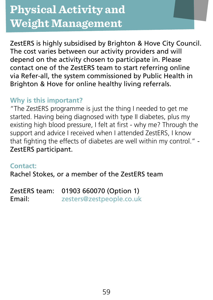ZestERS is highly subsidised by Brighton & Hove City Council. The cost varies between our activity providers and will depend on the activity chosen to participate in. Please contact one of the ZestERS team to start referring online via Refer-all, the system commissioned by Public Health in Brighton & Hove for online healthy living referrals.

# **Why is this important?**

"The ZestERS programme is just the thing I needed to get me started. Having being diagnosed with type II diabetes, plus my existing high blood pressure, I felt at first - why me? Through the support and advice I received when I attended ZestERS, I know that fighting the effects of diabetes are well within my control." - ZestERS participant.

#### **Contact:**

Rachel Stokes, or a member of the ZestERS team

ZestERS team: 01903 660070 (Option 1) Email: [zesters@zestpeople.co.uk](mailto:zesters@zestpeople.co.uk)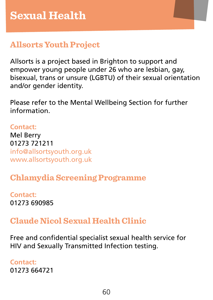# <span id="page-59-0"></span>**Allsorts Youth Project**

Allsorts is a project based in Brighton to support and empower young people under 26 who are lesbian, gay, bisexual, trans or unsure (LGBTU) of their sexual orientation and/or gender identity.

Please refer to the Mental Wellbeing Section for further information.

# **Contact:**

Mel Berry 01273 721211 [info@allsortsyouth.org.uk](mailto:info@allsortsyouth.org.uk) [www.allsortsyouth.org.uk](http://www.allsortsyouth.org.uk/)

# **Chlamydia Screening Programme**

**Contact:** 01273 690985

# **Claude Nicol Sexual Health Clinic**

Free and confidential specialist sexual health service for HIV and Sexually Transmitted Infection testing.

**Contact:** 01273 664721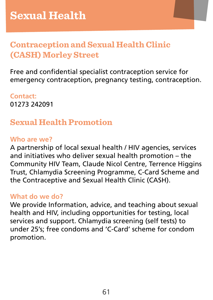# **Contraception and Sexual Health Clinic (CASH) Morley Street**

Free and confidential specialist contraception service for emergency contraception, pregnancy testing, contraception.

**Contact:** 01273 242091

# **Sexual Health Promotion**

## **Who are we?**

A partnership of local sexual health / HIV agencies, services and initiatives who deliver sexual health promotion – the Community HIV Team, Claude Nicol Centre, Terrence Higgins Trust, Chlamydia Screening Programme, C-Card Scheme and the Contraceptive and Sexual Health Clinic (CASH).

## **What do we do?**

We provide Information, advice, and teaching about sexual health and HIV, including opportunities for testing, local services and support. Chlamydia screening (self tests) to under 25's; free condoms and 'C-Card' scheme for condom promotion.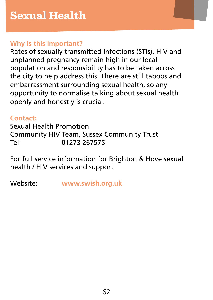## **Why is this important?**

Rates of sexually transmitted Infections (STIs), HIV and unplanned pregnancy remain high in our local population and responsibility has to be taken across the city to help address this. There are still taboos and embarrassment surrounding sexual health, so any opportunity to normalise talking about sexual health openly and honestly is crucial.

# **Contact:**

Sexual Health Promotion Community HIV Team, Sussex Community Trust Tel: 01273 267575

For full service information for Brighton & Hove sexual health / HIV services and support

Website: **[www.swish.org.uk](http://www.swish.org.uk/)**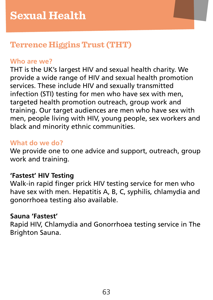# **Terrence Higgins Trust (THT)**

# **Who are we?**

THT is the UK's largest HIV and sexual health charity. We provide a wide range of HIV and sexual health promotion services. These include HIV and sexually transmitted infection (STI) testing for men who have sex with men, targeted health promotion outreach, group work and training. Our target audiences are men who have sex with men, people living with HIV, young people, sex workers and black and minority ethnic communities.

# **What do we do?**

We provide one to one advice and support, outreach, group work and training.

## **'Fastest' HIV Testing**

Walk-in rapid finger prick HIV testing service for men who have sex with men. Hepatitis A, B, C, syphilis, chlamydia and gonorrhoea testing also available.

## **Sauna 'Fastest'**

Rapid HIV, Chlamydia and Gonorrhoea testing service in The Brighton Sauna.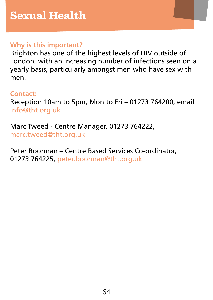# **Why is this important?**

Brighton has one of the highest levels of HIV outside of London, with an increasing number of infections seen on a yearly basis, particularly amongst men who have sex with men.

#### **Contact:**

Reception 10am to 5pm, Mon to Fri – 01273 764200, email [info@tht.org.uk](mailto:info@tht.org.uk)

Marc Tweed - Centre Manager, 01273 764222, [marc.tweed@tht.org.uk](mailto:marc.tweed@tht.org.uk)

Peter Boorman – Centre Based Services Co-ordinator, 01273 764225, [peter.boorman@tht.org.uk](mailto:peter.boorman@tht.org.uk)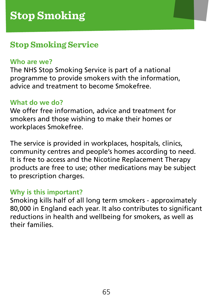# <span id="page-64-0"></span>**Stop Smoking Service**

#### **Who are we?**

The NHS Stop Smoking Service is part of a national programme to provide smokers with the information, advice and treatment to become Smokefree.

# **What do we do?**

We offer free information, advice and treatment for smokers and those wishing to make their homes or workplaces Smokefree.

The service is provided in workplaces, hospitals, clinics, community centres and people's homes according to need. It is free to access and the Nicotine Replacement Therapy products are free to use; other medications may be subject to prescription charges.

## **Why is this important?**

Smoking kills half of all long term smokers - approximately 80,000 in England each year. It also contributes to significant reductions in health and wellbeing for smokers, as well as their families.